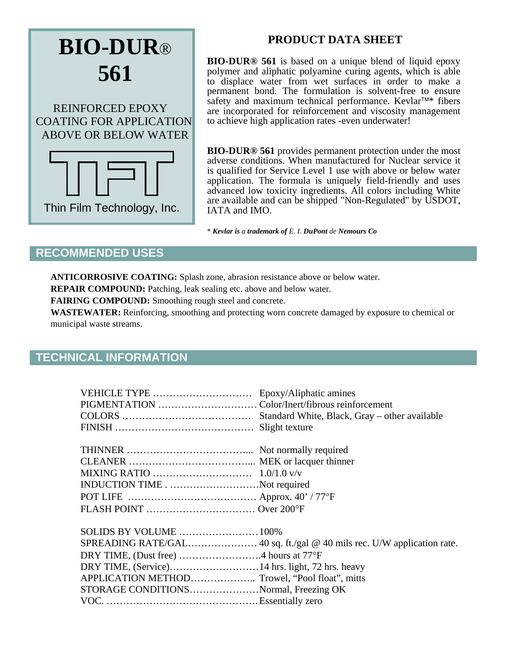

## **PRODUCT DATA SHEET**

**BIO-DUR® 561** is based on a unique blend of liquid epoxy polymer and aliphatic polyamine curing agents, which is able to displace water from wet surfaces in order to make a permanent bond. The formulation is solvent-free to ensure safety and maximum technical performance. Kevlar™\* fibers are incorporated for reinforcement and viscosity management to achieve high application rates -even underwater!

**BIO-DUR® 561** provides permanent protection under the most adverse conditions. When manufactured for Nuclear service it is qualified for Service Level 1 use with above or below water application. The formula is uniquely field-friendly and uses advanced low toxicity ingredients. All colors including White are available and can be shipped "Non-Regulated" by USDOT, IATA and IMO.

\* *Kevlar is a trademark of E. I. DuPont de Nemours Co*

## **RECOMMENDED USES**

**ANTICORROSIVE COATING:** Splash zone, abrasion resistance above or below water.

**REPAIR COMPOUND:** Patching, leak sealing etc. above and below water.

**FAIRING COMPOUND:** Smoothing rough steel and concrete.

**WASTEWATER:** Reinforcing, smoothing and protecting worn concrete damaged by exposure to chemical or municipal waste streams.

## **TECHNICAL INFORMATION**

| INDUCTION TIMENot required                     |  |
|------------------------------------------------|--|
|                                                |  |
|                                                |  |
|                                                |  |
|                                                |  |
|                                                |  |
|                                                |  |
| APPLICATION METHOD Trowel, "Pool float", mitts |  |
| STORAGE CONDITIONSNormal, Freezing OK          |  |
|                                                |  |
|                                                |  |